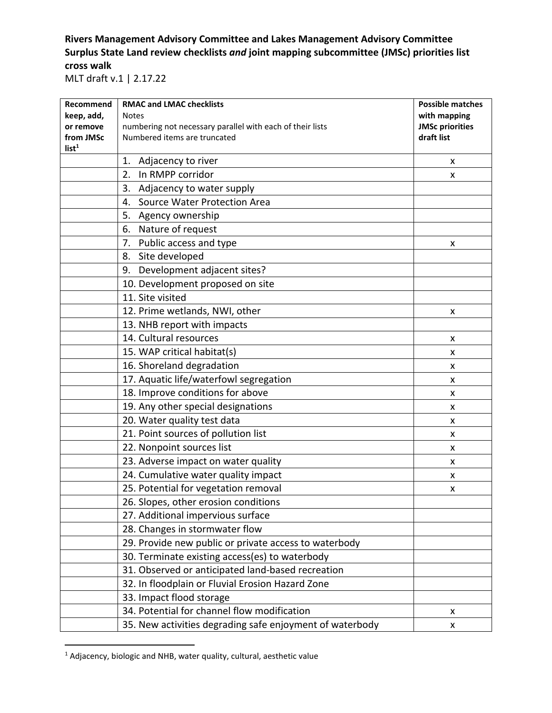## **Rivers Management Advisory Committee and Lakes Management Advisory Committee Surplus State Land review checklists** *and* **joint mapping subcommittee (JMSc) priorities list cross walk**

MLT draft v.1 | 2.17.22

| Recommend                      | <b>RMAC and LMAC checklists</b>                           | <b>Possible matches</b> |
|--------------------------------|-----------------------------------------------------------|-------------------------|
| keep, add,                     | <b>Notes</b>                                              | with mapping            |
| or remove                      | numbering not necessary parallel with each of their lists | <b>JMSc priorities</b>  |
| from JMSc<br>list <sup>1</sup> | Numbered items are truncated                              | draft list              |
|                                | 1. Adjacency to river                                     | X                       |
|                                | In RMPP corridor<br>2.                                    | X                       |
|                                | Adjacency to water supply<br>3.                           |                         |
|                                | Source Water Protection Area<br>4.                        |                         |
|                                | 5. Agency ownership                                       |                         |
|                                | Nature of request<br>6.                                   |                         |
|                                | Public access and type<br>7.                              | x                       |
|                                | Site developed<br>8.                                      |                         |
|                                | 9. Development adjacent sites?                            |                         |
|                                | 10. Development proposed on site                          |                         |
|                                | 11. Site visited                                          |                         |
|                                | 12. Prime wetlands, NWI, other                            | X                       |
|                                | 13. NHB report with impacts                               |                         |
|                                | 14. Cultural resources                                    | X                       |
|                                | 15. WAP critical habitat(s)                               | X                       |
|                                | 16. Shoreland degradation                                 | X                       |
|                                | 17. Aquatic life/waterfowl segregation                    | X                       |
|                                | 18. Improve conditions for above                          | X                       |
|                                | 19. Any other special designations                        | x                       |
|                                | 20. Water quality test data                               | X                       |
|                                | 21. Point sources of pollution list                       | X                       |
|                                | 22. Nonpoint sources list                                 | X                       |
|                                | 23. Adverse impact on water quality                       | X                       |
|                                | 24. Cumulative water quality impact                       | X                       |
|                                | 25. Potential for vegetation removal                      | x                       |
|                                | 26. Slopes, other erosion conditions                      |                         |
|                                | 27. Additional impervious surface                         |                         |
|                                | 28. Changes in stormwater flow                            |                         |
|                                | 29. Provide new public or private access to waterbody     |                         |
|                                | 30. Terminate existing access(es) to waterbody            |                         |
|                                | 31. Observed or anticipated land-based recreation         |                         |
|                                | 32. In floodplain or Fluvial Erosion Hazard Zone          |                         |
|                                | 33. Impact flood storage                                  |                         |
|                                | 34. Potential for channel flow modification               | X                       |
|                                | 35. New activities degrading safe enjoyment of waterbody  | X                       |

<sup>&</sup>lt;sup>1</sup> Adjacency, biologic and NHB, water quality, cultural, aesthetic value